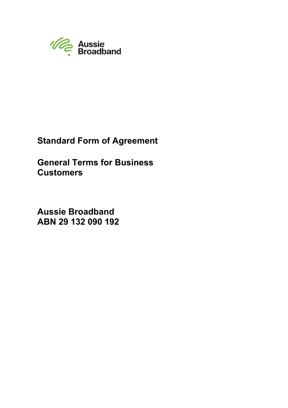

# **Standard Form of Agreement**

**General Terms for Business Customers**

**Aussie Broadband ABN 29 132 090 192**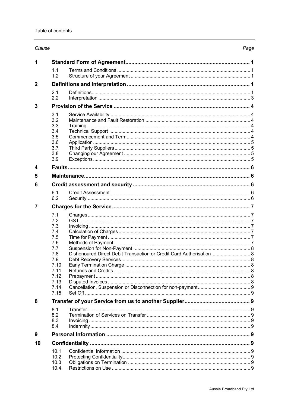# Clause

| 1            |                                                                                                             |                                                                     |  |  |  |
|--------------|-------------------------------------------------------------------------------------------------------------|---------------------------------------------------------------------|--|--|--|
|              | 1.1<br>1.2                                                                                                  |                                                                     |  |  |  |
| $\mathbf{2}$ |                                                                                                             |                                                                     |  |  |  |
|              | 2.1<br>2.2                                                                                                  |                                                                     |  |  |  |
| 3            |                                                                                                             |                                                                     |  |  |  |
|              | 3.1<br>3.2<br>3.3<br>3.4<br>3.5<br>3.6<br>3.7<br>3.8<br>3.9                                                 |                                                                     |  |  |  |
| 4            |                                                                                                             |                                                                     |  |  |  |
| 5            |                                                                                                             |                                                                     |  |  |  |
| 6            |                                                                                                             |                                                                     |  |  |  |
|              | 6.1<br>6.2                                                                                                  |                                                                     |  |  |  |
| 7            |                                                                                                             |                                                                     |  |  |  |
| 8            | 7.1<br>7.2<br>7.3<br>7.4<br>7.5<br>7.6<br>7.7<br>7.8<br>7.9<br>7.10<br>7.11<br>7.12<br>7.13<br>7.14<br>7.15 | Dishonoured Direct Debit Transaction or Credit Card Authorisation 8 |  |  |  |
|              | 8.1                                                                                                         |                                                                     |  |  |  |
|              | 8.2<br>8.3<br>8.4                                                                                           |                                                                     |  |  |  |
| 9            |                                                                                                             |                                                                     |  |  |  |
| 10           |                                                                                                             |                                                                     |  |  |  |
|              | 10.1<br>10.2<br>10.3<br>10.4                                                                                |                                                                     |  |  |  |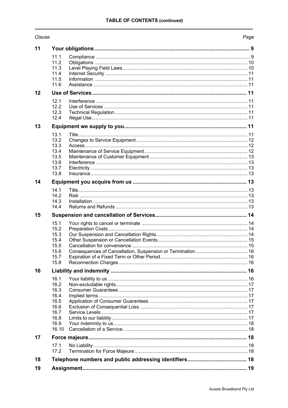| Clause |  |
|--------|--|
|--------|--|

# Page

| 11 |                                                                               |  |
|----|-------------------------------------------------------------------------------|--|
|    | 11.1<br>11.2<br>11.3<br>11.4<br>11.5<br>11.6                                  |  |
| 12 |                                                                               |  |
|    | 12.1<br>12.2<br>12.3<br>12.4                                                  |  |
| 13 |                                                                               |  |
|    | 13.1<br>13.2<br>13.3<br>13.4<br>13.5<br>13.6<br>13.7<br>13.8                  |  |
| 14 |                                                                               |  |
|    | 14.1<br>14.2<br>14.3<br>14.4                                                  |  |
| 15 |                                                                               |  |
|    | 15.1<br>15.2<br>15.3<br>15.4<br>15.5<br>15.6<br>15.7<br>15.8                  |  |
| 16 |                                                                               |  |
|    | 16.1<br>16.2<br>16.3<br>16.4<br>16.5<br>16.6<br>16.7<br>16.8<br>16.9<br>16.10 |  |
| 17 |                                                                               |  |
|    | 17.1<br>17.2                                                                  |  |
| 18 |                                                                               |  |
| 19 |                                                                               |  |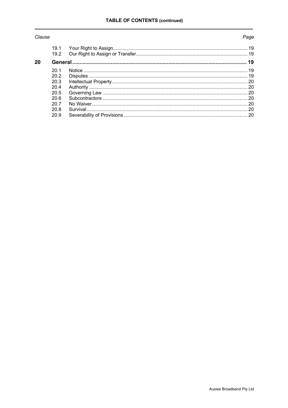# Clause

# Page

|    | 19.1 |  |
|----|------|--|
|    | 19.2 |  |
| 20 |      |  |
|    | 201  |  |
|    | 20.2 |  |
|    | 20.3 |  |
|    | 204  |  |
|    | 20.5 |  |
|    | 20.6 |  |
|    | 20.7 |  |
|    | 20.8 |  |
|    | 20.9 |  |
|    |      |  |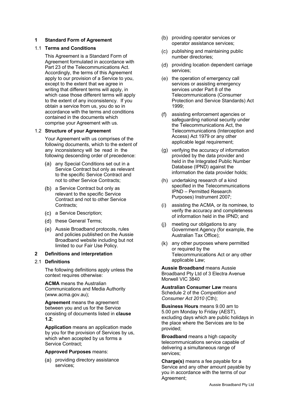# **1 Standard Form of Agreement**

## 1.1 **Terms and Conditions**

This Agreement is a Standard Form of Agreement formulated in accordance with Part 23 of the Telecommunications Act. Accordingly, the terms of this Agreement apply to our provision of a Service to you, except to the extent that we agree in writing that different terms will apply, in which case those different terms will apply to the extent of any inconsistency. If you obtain a service from us, you do so in accordance with the terms and conditions contained in the documents which comprise your Agreement with us.

## 1.2 **Structure of your Agreement**

Your Agreement with us comprises of the following documents, which to the extent of any inconsistency will be read in the following descending order of precedence:

- (a) any Special Conditions set out in a Service Contract but only as relevant to the specific Service Contract and not to other Service Contracts;
- (b) a Service Contract but only as relevant to the specific Service Contract and not to other Service Contracts;
- a Service Description;
- (d) these General Terms;
- Aussie Broadband protocols, rules and policies published on the Aussie Broadband website including but not limited to our Fair Use Policy.

#### **2 Definitions and interpretation**

#### 2.1 **Definitions**

The following definitions apply unless the context requires otherwise:

**ACMA** means the Australian Communications and Media Authority (www.acma.gov.au);

**Agreement** means the agreement between you and us for the Service consisting of documents listed in **clause 1.2**;

**Application** means an application made by you for the provision of Services by us, which when accepted by us forms a Service Contract;

#### **Approved Purposes** means:

(a) providing directory assistance services;

- (b) providing operator services or operator assistance services;
- publishing and maintaining public number directories;
- (d) providing location dependent carriage services;
- (e) the operation of emergency call services or assisting emergency services under Part 8 of the Telecommunications (Consumer Protection and Service Standards) Act 1999;
- assisting enforcement agencies or safeguarding national security under the Telecommunications Act, the Telecommunications (Interception and Access) Act 1979 or any other applicable legal requirement;
- (g) verifying the accuracy of information provided by the data provider and held in the Integrated Public Number Database (IPND) against the information the data provider holds;
- (h) undertaking research of a kind specified in the Telecommunications IPND – Permitted Research Purposes) Instrument 2007;
- assisting the ACMA, or its nominee, to verify the accuracy and completeness of information held in the IPND; and
- $(i)$ meeting our obligations to any Government Agency (for example, the Australian Tax Office);
- any other purposes where permitted or required by the Telecommunications Act or any other applicable Law;

**Aussie Broadband** means Aussie Broadband Pty Ltd of 3 Electra Avenue Morwell VIC 3840

**Australian Consumer Law** means Schedule 2 of the *Competition and Consumer Act 2010* (Cth);

**Business Hours** means 9.00 am to 5.00 pm Monday to Friday (AEST), excluding days which are public holidays in the place where the Services are to be provided;

**Broadband** means a high capacity telecommunications service capable of delivering a simultaneous range of services;

**Charge(s)** means a fee payable for a Service and any other amount payable by you in accordance with the terms of our Agreement;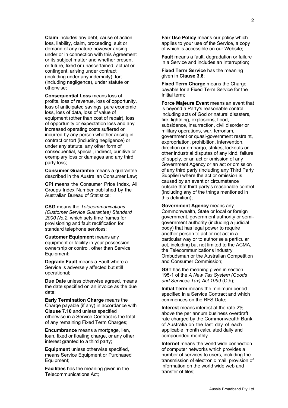**Claim** includes any debt, cause of action, loss, liability, claim, proceeding, suit or demand of any nature however arising under or in connection with this Agreement or its subject matter and whether present or future, fixed or unascertained, actual or contingent, arising under contract (including under any indemnity), tort (including negligence), under statute or otherwise;

**Consequential Loss** means loss of profits, loss of revenue, loss of opportunity, loss of anticipated savings, pure economic loss, loss of data, loss of value of equipment (other than cost of repair), loss of opportunity or expectation loss and any increased operating costs suffered or incurred by any person whether arising in contract or tort (including negligence) or under any statute, any other form of consequential, special, indirect, punitive or exemplary loss or damages and any third party loss;

**Consumer Guarantee** means a guarantee described in the Australian Consumer Law;

**CPI** means the Consumer Price Index, All Groups Index Number published by the Australian Bureau of Statistics;

**CSG** means the *Telecommunications (Customer Service Guarantee) Standard 2000 No.2,* which sets time frames for provisioning and fault rectification for standard telephone services;

**Customer Equipment** means any equipment or facility in your possession, ownership or control, other than Service Equipment;

**Degrade Fault** means a Fault where a Service is adversely affected but still operational;

**Due Date** unless otherwise agreed, means the date specified on an invoice as the due date;

**Early Termination Charge** means the Charge payable (if any) in accordance with **Clause 7.10** and unless specified otherwise in a Service Contract is the total of any remaining Fixed Term Charges;

**Encumbrance** means a mortgage, lien, loan, fixed or floating charge, or any other interest granted to a third party;

**Equipment** unless otherwise specified, means Service Equipment or Purchased Equipment;

**Facilities** has the meaning given in the Telecommunications Act;

**Fair Use Policy** means our policy which applies to your use of the Service, a copy of which is accessible on our Website;

**Fault** means a fault, degradation or failure in a Service and includes an Interruption;

**Fixed Term Service** has the meaning given in **Clause 3.6**;

**Fixed Term Charge** means the Charge payable for a Fixed Term Service for the Initial term;

**Force Majeure Event** means an event that is beyond a Party's reasonable control, including acts of God or natural disasters, fire, lightning, explosions, flood, subsidence, insurrection, civil disorder or military operations, war, terrorism, government or quasi-government restraint, expropriation, prohibition, intervention, direction or embargo, strikes, lockouts or other industrial disputes of any kind, failure of supply, or an act or omission of any Government Agency or an act or omission of any third party (including any Third Party Supplier) where the act or omission is caused by an event or circumstance outside that third party's reasonable control (including any of the things mentioned in this definition);

**Government Agency** means any Commonwealth, State or local or foreign government, government authority or semigovernment authority (including a judicial body) that has legal power to require another person to act or not act in a particular way or to authorise a particular act, including but not limited to the ACMA, the Telecommunications Industry Ombudsman or the Australian Competition and Consumer Commission;

**GST** has the meaning given in section 195-1 of the *A New Tax System (Goods and Services Tax) Act 1999* (Cth);

**Initial Term** means the minimum period specified in a Service Contract and which commences on the RFS Date;

**Interest** means interest at the rate 2% above the per annum business overdraft rate charged by the Commonwealth Bank of Australia on the last day of each applicable month calculated daily and compounded monthly

**Internet** means the world wide connection of computer networks which provides a number of services to users, including the transmission of electronic mail, provision of information on the world wide web and transfer of files;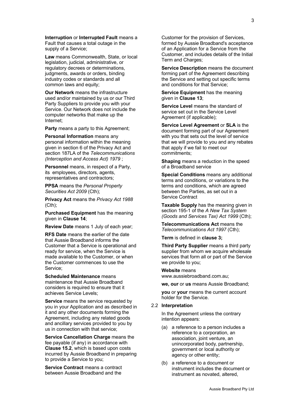**Interruption** or **Interrupted Fault** means a Fault that causes a total outage in the supply of a Service;

**Law** means Commonwealth, State, or local legislation, judicial, administrative, or regulatory decrees or determinations, judgments, awards or orders, binding industry codes or standards and all common laws and equity;

**Our Network** means the infrastructure used and/or maintained by us or our Third Party Suppliers to provide you with your Service. Our Network does not include the computer networks that make up the Internet;

**Party** means a party to this Agreement;

**Personal Information** means any personal information within the meaning given in section 6 of the Privacy Act and section 187LA of the *Telecommunications (Interception and Access Act) 1979* ;

**Personnel** means, in respect of a Party, its employees, directors, agents, representatives and contractors;

**PPSA** means the *Personal Property Securities Act 2009* (Cth);

**Privacy Act** means the *Privacy Act 1988* (Cth);

**Purchased Equipment** has the meaning given in **Clause 14**;

**Review Date** means 1 July of each year;

**RFS Date** means the earlier of the date that Aussie Broadband informs the Customer that a Service is operational and ready for service, when the Service is made available to the Customer, or when the Customer commences to use the Service;

**Scheduled Maintenance** means maintenance that Aussie Broadband considers is required to ensure that it achieves Service Levels;

**Service** means the service requested by you in your Application and as described in it and any other documents forming the Agreement, including any related goods and ancillary services provided to you by us in connection with that service;

**Service Cancellation Charge** means the fee payable (if any) in accordance with **Clause 15.2**, which is based upon costs incurred by Aussie Broadband in preparing to provide a Service to you;

**Service Contract** means a contract between Aussie Broadband and the

Customer for the provision of Services, formed by Aussie Broadband's acceptance of an Application for a Service from the Customer, and includes details of the Initial Term and Charges:

**Service Description** means the document forming part of the Agreement describing the Service and setting out specific terms and conditions for that Service;

**Service Equipment** has the meaning given in **Clause 13**;

**Service Level** means the standard of service set out in the Service Level Agreement (if applicable);

**Service Level Agreement** or **SLA** is the document forming part of our Agreement with you that sets out the level of service that we will provide to you and any rebates that apply if we fail to meet our commitments;

**Shaping** means a reduction in the speed of a Broadband service

**Special Conditions** means any additional terms and conditions, or variations to the terms and conditions, which are agreed between the Parties, as set out in a Service Contract

**Taxable Supply** has the meaning given in section 195-1 of the *A New Tax System (Goods and Services Tax) Act 1999* (Cth);

**Telecommunications Act** means the *Telecommunications Act 1997* (Cth);

**Term** is defined in **clause 3;**

**Third Party Supplier** means a third party supplier from whom we acquire wholesale services that form all or part of the Service we provide to you;

**Website** means www.aussiebroadband.com.au;

**we, our** or **us** means Aussie Broadband;

**you** or **your** means the current account holder for the Service.

2.2 **Interpretation**

In the Agreement unless the contrary intention appears:

- (a) a reference to a person includes a reference to a corporation, an association, joint venture, an unincorporated body, partnership, government or local authority or agency or other entity;
- (b) a reference to a document or instrument includes the document or instrument as novated, altered,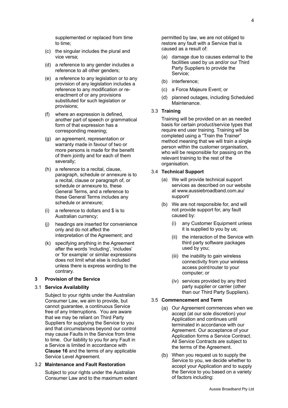supplemented or replaced from time to time;

- (c) the singular includes the plural and vice versa;
- (d) a reference to any gender includes a reference to all other genders;
- (e) a reference to any legislation or to any provision of any legislation includes a reference to any modification or reenactment of or any provisions substituted for such legislation or provisions;
- (f) where an expression is defined, another part of speech or grammatical form of that expression has a corresponding meaning;
- (g) an agreement, representation or warranty made in favour of two or more persons is made for the benefit of them jointly and for each of them severally;
- (h) a reference to a recital, clause, paragraph, schedule or annexure is to a recital, clause or paragraph of, or schedule or annexure to, these General Terms, and a reference to these General Terms includes any schedule or annexure;
- (i) a reference to dollars and \$ is to Australian currency;
- (j) headings are inserted for convenience only and do not affect the interpretation of the Agreement; and
- (k) specifying anything in the Agreement after the words 'including', 'includes' or 'for example' or similar expressions does not limit what else is included unless there is express wording to the contrary.

## **3 Provision of the Service**

#### 3.1 **Service Availability**

Subject to your rights under the Australian Consumer Law, we aim to provide, but cannot guarantee, a continuous Service free of any Interruptions. You are aware that we may be reliant on Third Party Suppliers for supplying the Service to you and that circumstances beyond our control may cause Faults in the Service from time to time. Our liability to you for any Fault in a Service is limited in accordance with **Clause 16** and the terms of any applicable Service Level Agreement.

#### 3.2 **Maintenance and Fault Restoration**

Subject to your rights under the Australian Consumer Law and to the maximum extent permitted by law, we are not obliged to restore any fault with a Service that is caused as a result of:

- (a) damage due to causes external to the facilities used by us and/or our Third Party Suppliers to provide the Service;
- (b) interference;
- (c) a Force Majeure Event; or
- (d) planned outages, including Scheduled Maintenance.

# 3.3 **Training**

Training will be provided on an as needed basis for certain product/service types that require end user training. Training will be completed using a "Train the Trainer" method meaning that we will train a single person within the customer organisation, who will be responsible for passing on the relevant training to the rest of the organisation.

#### 3.4 **Technical Support**

- (a) We will provide technical support services as described on our website at www.aussiebroadband.com.au/ support/
- (b) We are not responsible for, and will not provide support for, any fault caused by:
	- (i) any Customer Equipment unless it is supplied to you by us;
	- (ii) the interaction of the Service with third party software packages used by you;
	- (iii) the inability to gain wireless connectivity from your wireless access point/router to your computer; or
	- (iv) services provided by any third party supplier or carrier (other than our Third Party Suppliers).

#### 3.5 **Commencement and Term**

- (a) Our Agreement commences when we accept (at our sole discretion) your Application and continues until terminated in accordance with our Agreement. Our acceptance of your Application forms a Service Contract. All Service Contracts are subject to the terms of the Agreement.
- When you request us to supply the Service to you, we decide whether to accept your Application and to supply the Service to you based on a variety of factors including: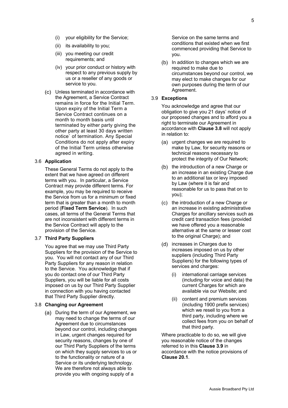- (i) your eligibility for the Service;
- (ii) its availability to you;
- (iii) you meeting our credit requirements; and
- (iv) your prior conduct or history with respect to any previous supply by us or a reseller of any goods or service to you.
- Unless terminated in accordance with the Agreement, a Service Contract remains in force for the Initial Term. Upon expiry of the Initial Term a Service Contract continues on a month to month basis until terminated by either party giving the other party at least 30 days written notice` of termination. Any Special Conditions do not apply after expiry of the Initial Term unless otherwise agreed in writing.

# 3.6 **Application**

These General Terms do not apply to the extent that we have agreed on different terms with you. In particular, a Service Contract may provide different terms. For example, you may be required to receive the Service from us for a minimum or fixed term that is greater than a month to month period (**Fixed Term Service**). In such cases, all terms of the General Terms that are not inconsistent with different terms in the Service Contract will apply to the provision of the Service.

#### 3.7 **Third Party Suppliers**

You agree that we may use Third Party Suppliers for the provision of the Service to you. You will not contact any of our Third Party Suppliers for any reason in relation to the Service. You acknowledge that if you do contact one of our Third Party Suppliers, you will be liable for all costs imposed on us by our Third Party Supplier in connection with you having contacted that Third Party Supplier directly.

#### 3.8 **Changing our Agreement**

(a) During the term of our Agreement, we may need to change the terms of our Agreement due to circumstances beyond our control, including changes in Law, urgent changes required for security reasons, changes by one of our Third Party Suppliers of the terms on which they supply services to us or to the functionality or nature of a Service or its underlying technology. We are therefore not always able to provide you with ongoing supply of a

Service on the same terms and conditions that existed when we first commenced providing that Service to you.

 $(b)$  In addition to changes which we are required to make due to circumstances beyond our control, we may elect to make changes for our own purposes during the term of our Agreement.

#### 3.9 **Exceptions**

You acknowledge and agree that our obligation to give you 21 days' notice of our proposed changes and to afford you a right to terminate our Agreement in accordance with **Clause 3.8** will not apply in relation to:

- (a) urgent changes we are required to make by Law, for security reasons or technical reasons necessary to protect the integrity of Our Network;
- (b) the introduction of a new Charge or an increase in an existing Charge due to an additional tax or levy imposed by Law (where it is fair and reasonable for us to pass that on to you);
- $(c)$  the introduction of a new Charge or an increase in existing administrative Charges for ancillary services such as credit card transaction fees (provided we have offered you a reasonable alternative at the same or lesser cost to the original Charge); and
- (d) increases in Charges due to increases imposed on us by other suppliers (including Third Party Suppliers) for the following types of services and charges:
	- (i) international carriage services (including for voice and data) the current Charges for which are available via our Website; and
	- (ii) content and premium services (including 1900 prefix services) which we resell to you from a third party, including where we collect fees from you on behalf of that third party.

Where practicable to do so, we will give you reasonable notice of the changes referred to in this **Clause 3.9** in accordance with the notice provisions of **Clause 20.1**.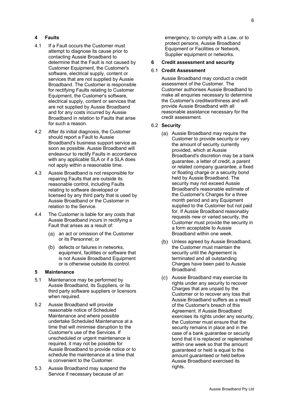# **4 Faults**

- 4.1 If a Fault occurs the Customer must attempt to diagnose its cause prior to contacting Aussie Broadband to determine that the Fault is not caused by Customer Equipment, the Customer's software, electrical supply, content or services that are not supplied by Aussie Broadband. The Customer is responsible for rectifying Faults relating to Customer Equipment, the Customer's software, electrical supply, content or services that are not supplied by Aussie Broadband and for any costs incurred by Aussie Broadband in relation to Faults that arise for such a reason.
- 4.2 After its initial diagnosis, the Customer should report a Fault to Aussie Broadband's business support service as soon as possible. Aussie Broadband will endeavour to rectify Faults in accordance with any applicable SLA or if a SLA does not apply within a reasonable time.
- 4.3 Aussie Broadband is not responsible for repairing Faults that are outside its reasonable control, including Faults relating to software developed or licensed by any third party that is used by Aussie Broadband or the Customer in relation to the Service.
- 4.4 The Customer is liable for any costs that Aussie Broadband incurs in rectifying a Fault that arises as a result of:
	- (a) an act or omission of the Customer or its Personnel; or
	- (b) defects or failures in networks, equipment, facilities or software that is not Aussie Broadband Equipment or is otherwise outside its control.

#### **5 Maintenance**

- 5.1 Maintenance may be performed by Aussie Broadband, its Suppliers, or its third party software suppliers or licensors when required.
- 5.2 Aussie Broadband will provide reasonable notice of Scheduled Maintenance and where possible undertake Scheduled Maintenance at a time that will minimise disruption to the Customer's use of the Services. If unscheduled or urgent maintenance is required, it may not be possible for Aussie Broadband to provide notice or to schedule the maintenance at a time that is convenient to the Customer.
- 5.3 Aussie Broadband may suspend the Service if necessary because of an

emergency, to comply with a Law, or to protect persons, Aussie Broadband Equipment or Facilities or Network, Supplier equipment or networks.

#### **6 Credit assessment and security**

# 6.1 **Credit Assessment**

Aussie Broadband may conduct a credit assessment of the Customer. The Customer authorises Aussie Broadband to make all enquiries necessary to determine the Customer's creditworthiness and will provide Aussie Broadband with all reasonable assistance necessary for the credit assessment.

#### 6.2 **Security**

- Aussie Broadband may require the Customer to provide security or vary the amount of security currently provided, which at Aussie Broadband's discretion may be a bank guarantee, a letter of credit, a parent or related company guarantee, a fixed or floating charge or a security bond held by Aussie Broadband. The security may not exceed Aussie Broadband's reasonable estimate of the Customer's Charges for a three month period and any Equipment supplied to the Customer but not paid for. If Aussie Broadband reasonably requests new or varied security, the Customer must provide the security in a form acceptable to Aussie Broadband within one week.
- (b) Unless agreed by Aussie Broadband, the Customer must maintain the security until the Agreement is terminated and all outstanding Charges have been paid to Aussie Broadband.
- Aussie Broadband may exercise its rights under any security to recover Charges that are unpaid by the Customer or to recover any loss that Aussie Broadband suffers as a result of the Customer's breach of this Agreement. If Aussie Broadband exercises its rights under any security, the Customer must ensure that the security remains in place and in the case of a bank guarantee or security bond that it is replaced or replenished within one week so that the amount guaranteed or held is equal to the amount guaranteed or held before Aussie Broadband exercised its rights.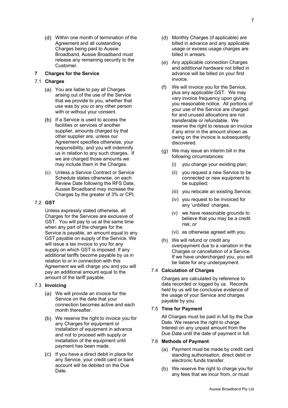Within one month of termination of the Agreement and all outstanding Charges being paid to Aussie Broadband, Aussie Broadband must release any remaining security to the Customer.

# **7 Charges for the Service**

# 7.1 **Charges**

- You are liable to pay all Charges arising out of the use of the Service that we provide to you, whether that use was by you or any other person with or without your consent.
- (b) If a Service is used to access the facilities or services of another supplier, amounts charged by that other supplier are, unless our Agreement specifies otherwise, your responsibility, and you will indemnify us in relation to any such charges. If we are charged those amounts we may include them in the Charges.
- (c) Unless a Service Contract or Service Schedule states otherwise, on each Review Date following the RFS Date, Aussie Broadband may increase the Charges by the greater of 3% or CPI:

#### 7.2 **GST**

Unless expressly stated otherwise, all Charges for the Services are exclusive of GST. You will pay to us at the same time when any part of the charges for the Service is payable, an amount equal to any GST payable on supply of the Service. We will issue a tax invoice to you for any supply on which GST is imposed. If any additional tariffs become payable by us in relation to or in connection with this Agreement we will charge you and you will pay an additional amount equal to the amount of the tariff payable.

#### 7.3 **Invoicing**

- We will provide an invoice for the Service on the date that your connection becomes active and each month thereafter.
- We reserve the right to invoice you for any Charges for equipment or installation of equipment in advance and not to proceed with supply or installation of the equipment until payment has been made.
- (c) If you have a direct debit in place for any Service, your credit card or bank account will be debited on the Due Date.
- (d) Monthly Charges (if applicable) are billed in advance and any applicable usage or excess usage charges are billed in arrears.
- (e) Any applicable connection Charges and additional hardware not billed in advance will be billed on your first invoice.
- We will invoice you for the Service, plus any applicable GST. We may vary invoice frequency upon giving you reasonable notice. All portions of your use of the Service are charged for and unused allocations are not transferable or refundable. We reserve the right to reissue an invoice if any error in the amount shown as owing on the invoice is subsequently discovered.
- We may issue an interim bill in the following circumstances:
	- (i) you change your existing plan;
	- (ii) you request a new Service to be connected or new equipment to be supplied;
	- (iii) you relocate an existing Service;
	- (iv) you request to be invoiced for any 'unbilled' charges;
	- (v) we have reasonable grounds to believe that you may be a credit risk; or
	- (vi) as otherwise agreed with you.
- We will refund or credit any overpayment due to a variation in the Charges or cancellation of a Service. If we have undercharged you, you will be liable for any underpayment.

#### 7.4 **Calculation of Charges**

Charges are calculated by reference to data recorded or logged by us. Records held by us will be conclusive evidence of the usage of your Service and charges payable by you.

#### 7.5 **Time for Payment**

All Charges must be paid in full by the Due Date. We reserve the right to charge Interest on any unpaid amount from the Due Date until the date of payment in full.

#### 7.6 **Methods of Payment**

- Payment must be made by credit card standing authorisation, direct debit or electronic funds transfer.
- (b) We reserve the right to charge you for any fees that we incur from, or must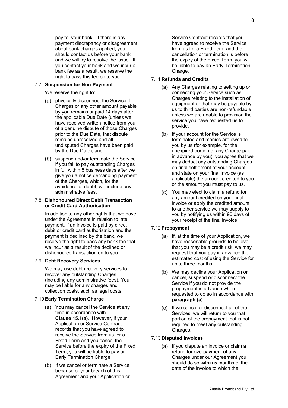pay to, your bank. If there is any payment discrepancy or disagreement about bank charges applied, you should contact us before your bank and we will try to resolve the issue. If you contact your bank and we incur a bank fee as a result, we reserve the right to pass this fee on to you.

## 7.7 **Suspension for Non-Payment**

- We reserve the right to:
- (a) physically disconnect the Service if Charges or any other amount payable by you remains unpaid 14 days after the applicable Due Date (unless we have received written notice from you of a genuine dispute of those Charges prior to the Due Date, that dispute remains unresolved and all undisputed Charges have been paid by the Due Date); and
- (b) suspend and/or terminate the Service if you fail to pay outstanding Charges in full within 5 business days after we give you a notice demanding payment of the Charges, which, for the avoidance of doubt, will include any administrative fees.

## 7.8 **Dishonoured Direct Debit Transaction or Credit Card Authorisation**

In addition to any other rights that we have under the Agreement in relation to late payment, if an invoice is paid by direct debit or credit card authorisation and the payment is declined by the bank, we reserve the right to pass any bank fee that we incur as a result of the declined or dishonoured transaction on to you.

#### 7.9 **Debt Recovery Services**

We may use debt recovery services to recover any outstanding Charges (including any administrative fees). You may be liable for any charges and collection costs, such as legal costs.

#### 7.10 **Early Termination Charge**

- You may cancel the Service at any time in accordance with **Clause 15.1(a)**. However, if your Application or Service Contract records that you have agreed to receive the Service from us for a Fixed Term and you cancel the Service before the expiry of the Fixed Term, you will be liable to pay an Early Termination Charge.
- (b) If we cancel or terminate a Service because of your breach of this Agreement and your Application or

Service Contract records that you have agreed to receive the Service from us for a Fixed Term and the cancellation or termination is before the expiry of the Fixed Term, you will be liable to pay an Early Termination Charge.

## 7.11 **Refunds and Credits**

- Any Charges relating to setting up or connecting your Service such as Charges relating to the installation of equipment or that may be payable by us to third parties are non-refundable unless we are unable to provision the service you have requested us to provide.
- $(b)$  If your account for the Service is terminated and monies are owed to you by us (for example, for the unexpired portion of any Charge paid in advance by you), you agree that we may deduct any outstanding Charges on final settlement of your account and state on your final invoice (as applicable) the amount credited to you or the amount you must pay to us.
- You may elect to claim a refund for any amount credited on your final invoice or apply the credited amount to another service we may supply to you by notifying us within 90 days of your receipt of the final invoice.

#### 7.12 **Prepayment**

- (a) If, at the time of your Application, we have reasonable grounds to believe that you may be a credit risk, we may request that you pay in advance the estimated cost of using the Service for up to three months.
- We may decline your Application or cancel, suspend or disconnect the Service if you do not provide the prepayment in advance when requested to do so in accordance with **paragraph (a)**.
- (c) If we cancel or disconnect all of the Services, we will return to you that portion of the prepayment that is not required to meet any outstanding Charges.

# 7.13 **Disputed Invoices**

(a) If you dispute an invoice or claim a refund for overpayment of any Charges under our Agreement you should do so within 5 months of the date of the invoice to which the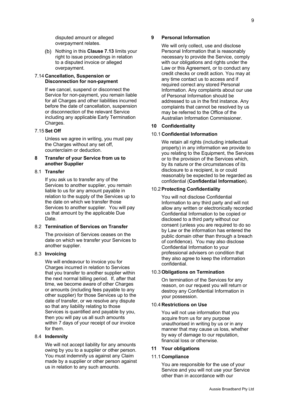disputed amount or alleged overpayment relates.

(b) Nothing in this **Clause 7.13** limits your right to issue proceedings in relation to a disputed invoice or alleged overpayment.

## 7.14 **Cancellation, Suspension or Disconnection for non-payment**

If we cancel, suspend or disconnect the Service for non-payment, you remain liable for all Charges and other liabilities incurred before the date of cancellation, suspension or disconnection of the relevant Service including any applicable Early Termination Charges.

# 7.15 **Set Off**

Unless we agree in writing, you must pay the Charges without any set off. counterclaim or deduction.

# **8 Transfer of your Service from us to another Supplier**

# 8.1 **Transfer**

If you ask us to transfer any of the Services to another supplier, you remain liable to us for any amount payable in relation to the supply of the Services up to the date on which we transfer those Services to another supplier. You will pay us that amount by the applicable Due Date.

## 8.2 **Termination of Services on Transfer**

The provision of Services ceases on the date on which we transfer your Services to another supplier.

# 8.3 **Invoicing**

We will endeavour to invoice you for Charges incurred in relation to Services that you transfer to another supplier within the next normal billing period. If, after that time, we become aware of other Charges or amounts (including fees payable to any other supplier) for those Services up to the date of transfer, or we resolve any dispute so that any liability relating to those Services is quantified and payable by you, then you will pay us all such amounts within 7 days of your receipt of our invoice for them.

#### 8.4 **Indemnity**

We will not accept liability for any amounts owing by you to a supplier or other person. You must indemnify us against any Claim made by a supplier or other person against us in relation to any such amounts.

# **9 Personal Information**

We will only collect, use and disclose Personal Information that is reasonably necessary to provide the Service, comply with our obligations and rights under the Law or this Agreement, or to conduct any credit checks or credit action. You may at any time contact us to access and if required correct any stored Personal Information. Any complaints about our use of Personal Information should be addressed to us in the first instance. Any complaints that cannot be resolved by us may be referred to the Office of the Australian Information Commissioner.

# **10 Confidentiality**

#### 10.1 **Confidential Information**

We retain all rights (including intellectual property) in any information we provide to you relating to the Equipment, the Services or to the provision of the Services which, by its nature or the circumstances of its disclosure to a recipient, is or could reasonably be expected to be regarded as confidential (**Confidential Information**).

#### 10.2 **Protecting Confidentiality**

You will not disclose Confidential Information to any third party and will not allow any written or electronically recorded Confidential Information to be copied or disclosed to a third party without our consent (unless you are required to do so by Law or the information has entered the public domain other than through a breach of confidence). You may also disclose Confidential Information to your professional advisers on condition that they also agree to keep the information confidential.

#### 10.3 **Obligations on Termination**

On termination of the Services for any reason, on our request you will return or destroy any Confidential Information in your possession.

#### 10.4 **Restrictions on Use**

You will not use information that you acquire from us for any purpose unauthorised in writing by us or in any manner that may cause us loss, whether by way of damage to our reputation, financial loss or otherwise.

#### **11 Your obligations**

#### 11.1 **Compliance**

You are responsible for the use of your Service and you will not use your Service other than in accordance with our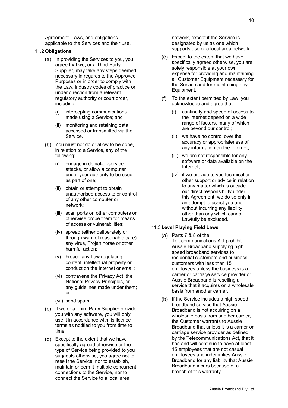Agreement, Laws, and obligations applicable to the Services and their use.

## 11.2 **Obligations**

- (a) In providing the Services to you, you agree that we, or a Third Party Supplier, may take any steps deemed necessary in regards to the Approved Purposes or in order to comply with the Law, industry codes of practice or under direction from a relevant regulatory authority or court order, including:
	- (i) intercepting communications made using a Service; and
	- (ii) monitoring and retaining data accessed or transmitted via the Service.
- (b) You must not do or allow to be done. in relation to a Service, any of the following:
	- (i) engage in denial-of-service attacks, or allow a computer under your authority to be used as part of one;
	- (ii) obtain or attempt to obtain unauthorised access to or control of any other computer or network;
	- (iii) scan ports on other computers or otherwise probe them for means of access or vulnerabilities;
	- (iv) spread (either deliberately or through want of reasonable care) any virus, Trojan horse or other harmful action;
	- (v) breach any Law regulating content, intellectual property or conduct on the Internet or email;
	- (vi) contravene the Privacy Act, the National Privacy Principles, or any guidelines made under them; or
	- (vii) send spam.
- (c) If we or a Third Party Supplier provide you with any software, you will only use it in accordance with its licence terms as notified to you from time to time.
- Except to the extent that we have specifically agreed otherwise or the type of Service being provided to you suggests otherwise, you agree not to resell the Service, nor to establish, maintain or permit multiple concurrent connections to the Service, nor to connect the Service to a local area

network, except if the Service is designated by us as one which supports use of a local area network.

- (e) Except to the extent that we have specifically agreed otherwise, you are solely responsible at your own expense for providing and maintaining all Customer Equipment necessary for the Service and for maintaining any Equipment.
- To the extent permitted by Law, you  $(f)$ acknowledge and agree that:
	- (i) continuity and speed of access to the Internet depend on a wide range of factors, many of which are beyond our control;
	- (ii) we have no control over the accuracy or appropriateness of any information on the Internet;
	- (iii) we are not responsible for any software or data available on the Internet;
	- (iv) if we provide to you technical or other support or advice in relation to any matter which is outside our direct responsibility under this Agreement, we do so only in an attempt to assist you and without incurring any liability other than any which cannot Lawfully be excluded.

# 11.3 **Level Playing Field Laws**

- (a) Parts 7 & 8 of the Telecommunications Act prohibit Aussie Broadband supplying high speed broadband services to residential customers and business customers with less than 15 employees unless the business is a carrier or carriage service provider or Aussie Broadband is reselling a service that it acquires on a wholesale basis from another carrier.
- (b) If the Service includes a high speed broadband service that Aussie Broadband is not acquiring on a wholesale basis from another carrier, the Customer warrants to Aussie Broadband that unless it is a carrier or carriage service provider as defined by the Telecommunications Act, that it has and will continue to have at least 15 employees that are not casual employees and indemnifies Aussie Broadband for any liability that Aussie Broadband incurs because of a breach of this warranty.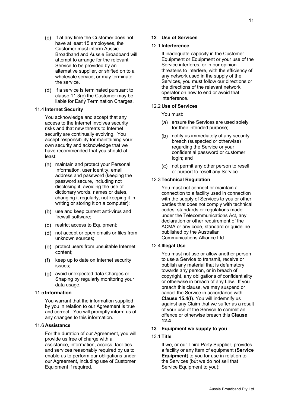- (c) If at any time the Customer does not have at least 15 employees, the Customer must inform Aussie Broadband and Aussie Broadband will attempt to arrange for the relevant Service to be provided by an alternative supplier, or shifted on to a wholesale service, or may terminate the service.
- (d) If a service is terminated pursuant to clause 11.3(c) the Customer may be liable for Early Termination Charges.

#### 11.4 **Internet Security**

You acknowledge and accept that any access to the Internet involves security risks and that new threats to Internet security are continually evolving. You accept responsibility for maintaining your own security and acknowledge that we have recommended that you should at least:

- maintain and protect your Personal Information, user identity, email address and password (keeping the password secure, including not disclosing it, avoiding the use of dictionary words, names or dates, changing it regularly, not keeping it in writing or storing it on a computer);
- (b) use and keep current anti-virus and firewall software;
- (c) restrict access to Equipment;
- not accept or open emails or files from unknown sources;
- (e) protect users from unsuitable Internet content;
- keep up to date on Internet security  $(f)$ issues;
- (g) avoid unexpected data Charges or Shaping by regularly monitoring your data usage.

#### 11.5 **Information**

You warrant that the information supplied by you in relation to our Agreement is true and correct. You will promptly inform us of any changes to this information.

#### 11.6 **Assistance**

For the duration of our Agreement, you will provide us free of charge with all assistance, information, access, facilities and services reasonably required by us to enable us to perform our obligations under our Agreement, including use of Customer Equipment if required.

#### **12 Use of Services**

#### 12.1 **Interference**

If inadequate capacity in the Customer Equipment or Equipment or your use of the Service interferes, or in our opinion threatens to interfere, with the efficiency of any network used in the supply of the Services, you must follow our directions or the directions of the relevant network operator on how to end or avoid that interference.

## 12.2 **Use of Services**

You must:

- (a) ensure the Services are used solely for their intended purpose;
- (b) notify us immediately of any security breach (suspected or otherwise) regarding the Service or your confidential password or customer login; and
- not permit any other person to resell or purport to resell any Service.

#### 12.3 **Technical Regulation**

You must not connect or maintain a connection to a facility used in connection with the supply of Services to you or other parties that does not comply with technical codes, standards or regulations made under the Telecommunications Act, any declaration or other requirement of the ACMA or any code, standard or guideline published by the Australian Communications Alliance Ltd.

# 12.4 **Illegal Use**

You must not use or allow another person to use a Service to transmit, receive or publish any material that is defamatory towards any person, or in breach of copyright, any obligations of confidentiality or otherwise in breach of any Law. If you breach this clause, we may suspend or cancel the Service in accordance with **Clause 15.4(f)**. You will indemnify us against any Claim that we suffer as a result of your use of the Service to commit an offence or otherwise breach this **Clause 12.4**.

# **13 Equipment we supply to you**

# 13.1 **Title**

If we, or our Third Party Supplier, provides a facility or any item of equipment (**Service Equipment**) to you for use in relation to the Services (but we do not sell that Service Equipment to you):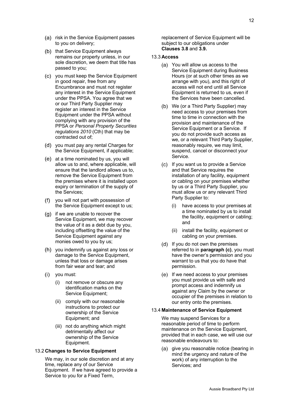- (a) risk in the Service Equipment passes to you on delivery;
- (b) that Service Equipment always remains our property unless, in our sole discretion, we deem that title has passed to you;
- you must keep the Service Equipment in good repair, free from any Encumbrance and must not register any interest in the Service Equipment under the PPSA. You agree that we or our Third Party Supplier may register an interest in the Service Equipment under the PPSA without complying with any provision of the PPSA or *Personal Property Securities regulations 2010* (Cth) that may be contracted out of;
- (d) you must pay any rental Charges for the Service Equipment, if applicable;
- (e) at a time nominated by us, you will allow us to and, where applicable, will ensure that the landlord allows us to, remove the Service Equipment from the premises where it is installed upon expiry or termination of the supply of the Services;
- you will not part with possession of the Service Equipment except to us;
- $(g)$  if we are unable to recover the Service Equipment, we may recover the value of it as a debt due by you, including offsetting the value of the Service Equipment against any monies owed to you by us;
- (h) you indemnify us against any loss or damage to the Service Equipment, unless that loss or damage arises from fair wear and tear; and
- (i) you must:
	- (i) not remove or obscure any identification marks on the Service Equipment;
	- (ii) comply with our reasonable instructions to protect our ownership of the Service Equipment; and
	- (iii) not do anything which might detrimentally affect our ownership of the Service Equipment.

# 13.2 **Changes to Service Equipment**

We may, in our sole discretion and at any time, replace any of our Service Equipment. If we have agreed to provide a Service to you for a Fixed Term,

replacement of Service Equipment will be subject to our obligations under **Clauses 3.8** and **3.9.**

#### 13.3 **Access**

- You will allow us access to the Service Equipment during Business Hours (or at such other times as we arrange with you), and this right of access will not end until all Service Equipment is returned to us, even if the Services have been cancelled.
- We (or a Third Party Supplier) may need access to your premises from time to time in connection with the provision and maintenance of the Service Equipment or a Service. If you do not provide such access as we, or a relevant Third Party Supplier, reasonably require, we may limit, suspend, cancel or disconnect your Service.
- (c) If you want us to provide a Service and that Service requires the installation of any facility, equipment or cabling on your premises whether by us or a Third Party Supplier, you must allow us or any relevant Third Party Supplier to:
	- (i) have access to your premises at a time nominated by us to install the facility, equipment or cabling; and
	- (ii) install the facility, equipment or cabling on your premises.
- (d) If you do not own the premises referred to in **paragraph (c)**, you must have the owner's permission and you warrant to us that you do have that permission.
- (e) If we need access to your premises you must provide us with safe and prompt access and indemnify us against any Claim by the owner or occupier of the premises in relation to our entry onto the premises.

## 13.4 **Maintenance of Service Equipment**

We may suspend Services for a reasonable period of time to perform maintenance on the Service Equipment, provided that in each case, we will use our reasonable endeavours to:

(a) give you reasonable notice (bearing in mind the urgency and nature of the work) of any interruption to the Services; and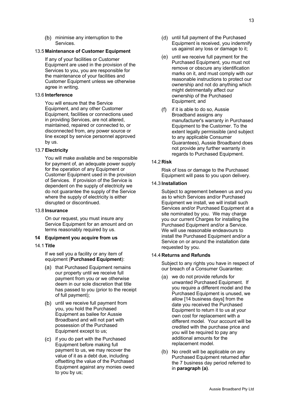(b) minimise any interruption to the Services.

# 13.5 **Maintenance of Customer Equipment**

If any of your facilities or Customer Equipment are used in the provision of the Services to you, you are responsible for the maintenance of your facilities and Customer Equipment unless we otherwise agree in writing.

## 13.6 **Interference**

You will ensure that the Service Equipment, and any other Customer Equipment, facilities or connections used in providing Services, are not altered, maintained, repaired or connected to, or disconnected from, any power source or line except by service personnel approved by us.

# 13.7 **Electricity**

You will make available and be responsible for payment of, an adequate power supply for the operation of any Equipment or Customer Equipment used in the provision of Services. If provision of the Service is dependent on the supply of electricity we do not guarantee the supply of the Service where the supply of electricity is either disrupted or discontinued.

#### 13.8 **Insurance**

On our request, you must insure any Service Equipment for an amount and on terms reasonably required by us.

# **14 Equipment you acquire from us**

14.1 **Title**

If we sell you a facility or any item of equipment (**Purchased Equipment**):

- (a) that Purchased Equipment remains our property until we receive full payment from you or we otherwise deem in our sole discretion that title has passed to you (prior to the receipt of full payment);
- (b) until we receive full payment from you, you hold the Purchased Equipment as bailee for Aussie Broadband and will not part with possession of the Purchased Equipment except to us;
- (c) if you do part with the Purchased Equipment before making full payment to us, we may recover the value of it as a debt due, including offsetting the value of the Purchased Equipment against any monies owed to you by us;
- (d) until full payment of the Purchased Equipment is received, you indemnify us against any loss or damage to it;
- $(e)$  until we receive full payment for the Purchased Equipment, you must not remove or obscure any identification marks on it, and must comply with our reasonable instructions to protect our ownership and not do anything which might detrimentally affect our ownership of the Purchased Equipment; and
- $(f)$  if it is able to do so, Aussie Broadband assigns any manufacturer's warranty in Purchased Equipment to the Customer. To the extent legally permissible (and subject to any applicable Consumer Guarantees), Aussie Broadband does not provide any further warranty in regards to Purchased Equipment.

# 14.2 **Risk**

Risk of loss or damage to the Purchased Equipment will pass to you upon delivery.

# 14.3 **Installation**

Subject to agreement between us and you as to which Services and/or Purchased Equipment we install, we will install such Services and/or Purchased Equipment at a site nominated by you. We may charge you our current Charges for installing the Purchased Equipment and/or a Service. We will use reasonable endeavours to install the Purchased Equipment and/or a Service on or around the installation date requested by you.

#### 14.4 **Returns and Refunds**

Subject to any rights you have in respect of our breach of a Consumer Guarantee:

- we do not provide refunds for unwanted Purchased Equipment. If you require a different model and the Purchased Equipment is unused, we allow [14 business days] from the date you received the Purchased Equipment to return it to us at your own cost for replacement with a different model. Your account will be credited with the purchase price and you will be required to pay any additional amounts for the replacement model.
- (b) No credit will be applicable on any Purchased Equipment returned after the 7 business day period referred to in **paragraph (a)**.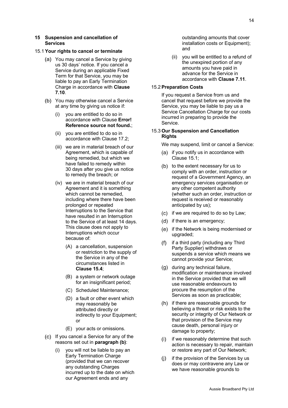#### 15.1 **Your rights to cancel or terminate**

- You may cancel a Service by giving us 30 days' notice. If you cancel a Service during an applicable Fixed Term for that Service, you may be liable to pay an Early Termination Charge in accordance with **Clause 7.10**.
- (b) You may otherwise cancel a Service at any time by giving us notice if:
	- (i) you are entitled to do so in accordance with Clause **Error! Reference source not found.**;
	- (ii) you are entitled to do so in accordance with Clause 17.2;
	- (iii) we are in material breach of our Agreement, which is capable of being remedied, but which we have failed to remedy within 30 days after you give us notice to remedy the breach; or
	- (iv) we are in material breach of our Agreement and it is something which cannot be remedied, including where there have been prolonged or repeated Interruptions to the Service that have resulted in an Interruption to the Service of at least 14 days. This clause does not apply to Interruptions which occur because of:
		- (A) a cancellation, suspension or restriction to the supply of the Service in any of the circumstances listed in **Clause 15.4**;
		- (B) a system or network outage for an insignificant period;
		- (C) Scheduled Maintenance;
		- (D) a fault or other event which may reasonably be attributed directly or indirectly to your Equipment; or
		- (E) your acts or omissions.
- (c) If you cancel a Service for any of the reasons set out in **paragraph (b)**:
	- you will not be liable to pay an Early Termination Charge (provided that we can recover any outstanding Charges incurred up to the date on which our Agreement ends and any

outstanding amounts that cover installation costs or Equipment); and

(ii) you will be entitled to a refund of the unexpired portion of any amounts you have paid in advance for the Service in accordance with **Clause 7.11**.

## 15.2 **Preparation Costs**

If you request a Service from us and cancel that request before we provide the Service, you may be liable to pay us a Service Cancellation Charge for our costs incurred in preparing to provide the Service.

# 15.3 **Our Suspension and Cancellation Rights**

We may suspend, limit or cancel a Service:

- (a) if you notify us in accordance with Clause 15.1;
- $(b)$  to the extent necessary for us to comply with an order, instruction or request of a Government Agency, an emergency services organisation or any other competent authority (whether such an order, instruction or request is received or reasonably anticipated by us);
- $(c)$  if we are required to do so by Law;
- $(d)$  if there is an emergency;
- (e) if the Network is being modernised or upgraded;
- $(f)$  if a third party (including any Third Party Supplier) withdraws or suspends a service which means we cannot provide your Service;
- (g) during any technical failure, modification or maintenance involved in the Service provided that we will use reasonable endeavours to procure the resumption of the Services as soon as practicable;
- $(h)$  if there are reasonable grounds for believing a threat or risk exists to the security or integrity of Our Network or that provision of the Service may cause death, personal injury or damage to property;
- $(i)$  if we reasonably determine that such action is necessary to repair, maintain or restore any part of Our Network;
- (j) if the provision of the Services by us does or may contravene any Law or we have reasonable grounds to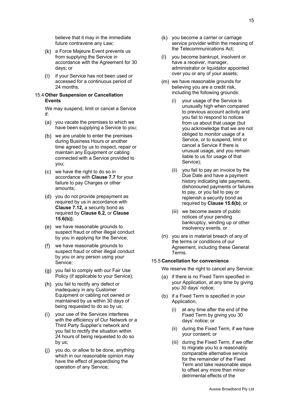believe that it may in the immediate future contravene any Law;

- a Force Majeure Event prevents us from supplying the Service in accordance with the Agreement for 30 days; or
- $(1)$ if your Service has not been used or accessed for a continuous period of 24 months.

#### 15.4 **Other Suspension or Cancellation Events**

We may suspend, limit or cancel a Service if:

- (a) you vacate the premises to which we have been supplying a Service to you;
- (b) we are unable to enter the premises during Business Hours or another time agreed by us to inspect, repair or maintain any Equipment or cabling connected with a Service provided to you;
- we have the right to do so in accordance with **Clause 7.7** for your failure to pay Charges or other amounts;
- (d) you do not provide prepayment as required by us in accordance with **Clause 7.12,** a security bond as required by **Clause 6.2,** or **Clause 15.6(b))**;
- we have reasonable grounds to suspect fraud or other illegal conduct by you in applying for the Service;
- we have reasonable grounds to suspect fraud or other illegal conduct by you or any person using your Service;
- (g) you fail to comply with our Fair Use Policy (if applicable to your Service);
- (h) vou fail to rectify any defect or inadequacy in any Customer Equipment or cabling not owned or maintained by us within 30 days of being requested to do so by us;
- (i) your use of the Services interferes with the efficiency of Our Network or a Third Party Supplier's network and you fail to rectify the situation within 24 hours of being requested to do so by us;
- you do, or allow to be done, anything which in our reasonable opinion may have the effect of jeopardising the operation of any Service;
- (k) you become a carrier or carriage service provider within the meaning of the Telecommunications Act;
- (I) vou become bankrupt, insolvent or have a receiver, manager, administrator or liquidator appointed over you or any of your assets;
- (m) we have reasonable grounds for believing you are a credit risk, including the following grounds:
	- (i) your usage of the Service is unusually high when compared to previous account activity and you fail to respond to notices from us about that usage (but you acknowledge that we are not obliged to monitor usage of a Service, or to suspend, limit or cancel a Service if there is unusual usage, and you remain liable to us for usage of that Service);
	- (ii) you fail to pay an invoice by the Due Date and have a payment history indicating late payments, dishonoured payments or failures to pay, or you fail to pay or replenish a security bond as required by **Clause 15.6(b)**; or
	- (iii) we become aware of public notices of your pending bankruptcy, winding up or other insolvency events, or
- (n) you are in material breach of any of the terms or conditions of our Agreement, including these General Terms.

#### 15.5 **Cancellation for convenience**

We reserve the right to cancel any Service:

- (a) if there is no Fixed Term specified in your Application, at any time by giving you 30 days' notice;
- (b) if a Fixed Term is specified in your Application,
	- (i) at any time after the end of the Fixed Term by giving you 30 days' notice; or
	- (ii) during the Fixed Term, if we have your consent; or
	- (iii) during the Fixed Term, if we offer to migrate you to a reasonably comparable alternative service for the remainder of the Fixed Term and take reasonable steps to offset any more than minor detrimental effects of the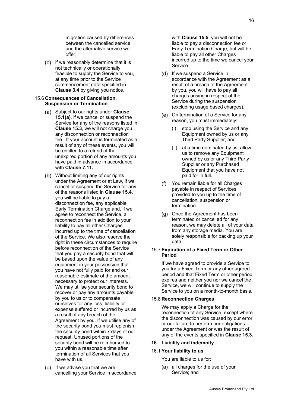migration caused by differences between the cancelled service and the alternative service we offer;

(c) if we reasonably determine that it is not technically or operationally feasible to supply the Service to you, at any time prior to the Service commencement date specified in **Clause 3.4** by giving you notice.

# 15.6 **Consequences of Cancellation, Suspension or Termination**

- Subject to our rights under **Clause 15.1(a)**, if we cancel or suspend the Service for any of the reasons listed in **Clause 15.3**, we will not charge you any disconnection or reconnection fee. If your account is terminated as a result of any of these events, you will be entitled to a refund of the unexpired portion of any amounts you have paid in advance in accordance with **Clause 7.11.**
- Without limiting any of our rights under the Agreement or at Law, if we cancel or suspend the Service for any of the reasons listed in **Clause 15.4**, you will be liable to pay a disconnection fee, any applicable Early Termination Charge and, if we agree to reconnect the Service, a reconnection fee in addition to your liability to pay all other Charges incurred up to the time of cancellation of the Service. We also reserve the right in these circumstances to require before reconnection of the Service that you pay a security bond that will be based upon the value of any equipment in your possession that you have not fully paid for and our reasonable estimate of the amount necessary to protect our interests. We may utilise your security bond to recover or pay any amounts payable by you to us or to compensate ourselves for any loss, liability or expense suffered or incurred by us as a result of any breach of the Agreement by you. If we utilise any of the security bond you must replenish the security bond within 7 days of our request. Unused portions of the security bond will be reimbursed to you within a reasonable time after termination of all Services that you have with us.
- $(c)$  If we advise you that we are cancelling your Service in accordance

with **Clause 15.5**, you will not be liable to pay a disconnection fee or Early Termination Charge, but will be liable to pay all other Charges incurred up to the time we cancel your Service.

- (d) If we suspend a Service in accordance with the Agreement as a result of a breach of the Agreement by you, you will have to pay all charges arising in respect of the Service during the suspension (excluding usage based charges).
- (e) On termination of a Service for any reason, you must immediately:
	- (i) stop using the Service and any Equipment owned by us or any Third Party Supplier; and
	- (ii) at a time nominated by us, allow us to remove any Equipment owned by us or any Third Party Supplier or any Purchased Equipment that you have not paid for in full.
- $(f)$ You remain liable for all Charges payable in respect of Services provided to you up to the time of cancellation, suspension or termination.
- (g) Once the Agreement has been terminated or cancelled for any reason, we may delete all of your data from any storage media. You are solely responsible for backing up your data.

# 15.7 **Expiration of a Fixed Term or Other Period**

If we have agreed to provide a Service to you for a Fixed Term or any other agreed period and that Fixed Term or other period expires and neither you nor we cancel the Service, we will continue to supply the Service to you on a month-to-month basis.

# 15.8 **Reconnection Charges**

We may apply a Charge for the reconnection of any Service, except where the disconnection was caused by our error or our failure to perform our obligations under the Agreement or was the result of any of the events specified in **Clause 15.3**.

#### **16 Liability and indemnity**

# 16.1 **Your liability to us**

You are liable to us for:

all charges for the use of your Service; and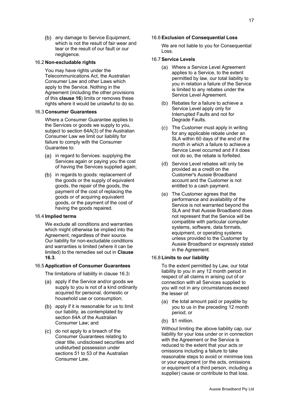(b) any damage to Service Equipment, which is not the result of fair wear and tear or the result of our fault or our negligence.

# 16.2 **Non-excludable rights**

You may have rights under the Telecommunications Act, the Australian Consumer Law and other Laws which apply to the Service. Nothing in the Agreement (including the other provisions of this **clause 16**) limits or removes these rights where it would be unlawful to do so.

# 16.3 **Consumer Guarantees**

Where a Consumer Guarantee applies to the Services or goods we supply to you, subject to section 64A(3) of the Australian Consumer Law we limit our liability for failure to comply with the Consumer Guarantee to:

- (a) in regard to Services: supplying the Services again or paying you the cost of having the Services supplied again;
- (b) in regards to goods: replacement of the goods or the supply of equivalent goods, the repair of the goods, the payment of the cost of replacing the goods or of acquiring equivalent goods, or the payment of the cost of having the goods repaired.

#### 16.4 **Implied terms**

We exclude all conditions and warranties which might otherwise be implied into the Agreement, regardless of their source. Our liability for non-excludable conditions and warranties is limited (where it can be limited) to the remedies set out in **Clause 16.3**.

#### 16.5 **Application of Consumer Guarantees**

The limitations of liability in clause 16.3**:**

- (a) apply if the Service and/or goods we supply to you is not of a kind ordinarily acquired for personal, domestic or household use or consumption;
- (b) apply if it is reasonable for us to limit our liability, as contemplated by section 64A of the Australian Consumer Law; and
- (c) do not apply to a breach of the Consumer Guarantees relating to clear title, undisclosed securities and undisturbed possession under sections 51 to 53 of the Australian Consumer Law.

# 16.6 **Exclusion of Consequential Loss**

We are not liable to you for Consequential Loss.

## 16.7 **Service Levels**

- Where a Service Level Agreement applies to a Service, to the extent permitted by law, our total liability to you in relation a failure of the Service is limited to any rebates under the Service Level Agreement.
- (b) Rebates for a failure to achieve a Service Level apply only for Interrupted Faults and not for Degrade Faults.
- The Customer must apply in writing for any applicable rebate under an SLA within 60 days of the end of the month in which a failure to achieve a Service Level occurred and if it does not do so, the rebate is forfeited.
- (d) Service Level rebates will only be provided as a credit on the Customer's Aussie Broadband account and the Customer is not entitled to a cash payment.
- (e) The Customer agrees that the performance and availability of the Service is not warranted beyond the SLA and that Aussie Broadband does not represent that the Service will be compatible with particular computer systems, software, data formats, equipment, or operating systems unless provided to the Customer by Aussie Broadband or expressly stated in the Agreement.

# 16.8 **Limits to our liability**

To the extent permitted by Law, our total liability to you in any 12 month period in respect of all claims in arising out of or connection with all Services supplied to you will not in any circumstances exceed the lesser of:

- $(a)$  the total amount paid or payable by you to us in the preceding 12 month period; or
- $(b)$  \$1 million.

Without limiting the above liability cap, our liability for your loss under or in connection with the Agreement or the Service is reduced to the extent that your acts or omissions including a failure to take reasonable steps to avoid or minimise loss or your equipment (or the acts, omissions or equipment of a third person, including a supplier) cause or contribute to that loss.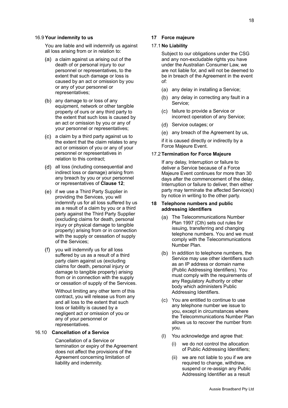#### 16.9 **Your indemnity to us**

You are liable and will indemnify us against all loss arising from or in relation to:

- $(a)$  a claim against us arising out of the death of or personal injury to our personnel or representatives, to the extent that such damage or loss is caused by an act or omission by you or any of your personnel or representatives;
- (b) any damage to or loss of any equipment, network or other tangible property of ours or any third party to the extent that such loss is caused by an act or omission by you or any of your personnel or representatives;
- a claim by a third party against us to the extent that the claim relates to any act or omission of you or any of your personnel or representatives in relation to this contract;
- all loss (including consequential and indirect loss or damage) arising from any breach by you or your personnel or representatives of **Clause 12**;
- (e) if we use a Third Party Supplier in providing the Services, you will indemnify us for all loss suffered by us as a result of a claim by you or a third party against the Third Party Supplier (excluding claims for death, personal injury or physical damage to tangible property) arising from or in connection with the supply or cessation of supply of the Services;
- you will indemnify us for all loss suffered by us as a result of a third party claim against us (excluding claims for death, personal injury or damage to tangible property) arising from or in connection with the supply or cessation of supply of the Services.

Without limiting any other term of this contract, you will release us from any and all loss to the extent that such loss or liability is caused by a negligent act or omission of you or any of your personnel or representatives.

#### 16.10 **Cancellation of a Service**

Cancellation of a Service or termination or expiry of the Agreement does not affect the provisions of the Agreement concerning limitation of liability and indemnity.

## **17 Force majeure**

#### 17.1 **No Liability**

Subject to our obligations under the CSG and any non-excludable rights you have under the Australian Consumer Law, we are not liable for, and will not be deemed to be in breach of the Agreement in the event of:

- (a) any delay in installing a Service;
- (b) any delay in correcting any fault in a Service;
- (c) failure to provide a Service or incorrect operation of any Service;
- (d) Service outages; or
- (e) any breach of the Agreement by us,

if it is caused directly or indirectly by a Force Majeure Event.

#### 17.2 **Termination for Force Majeure**

If any delay, Interruption or failure to deliver a Service because of a Force Majeure Event continues for more than 30 days after the commencement of the delay, Interruption or failure to deliver, then either party may terminate the affected Service(s) by notice in writing to the other party.

#### **18 Telephone numbers and public addressing identifiers**

- (a) The Telecommunications Number Plan 1997 (Cth) sets out rules for issuing, transferring and changing telephone numbers. You and we must comply with the Telecommunications Number Plan.
- $(b)$  In addition to telephone numbers, the Service may use other identifiers such as an IP address or domain name (Public Addressing Identifiers). You must comply with the requirements of any Regulatory Authority or other body which administers Public Addressing Identifiers.
- You are entitled to continue to use any telephone number we issue to you, except in circumstances where the Telecommunications Number Plan allows us to recover the number from you.
- (l) You acknowledge and agree that:
	- (i) we do not control the allocation of Public Addressing Identifiers;
	- (ii) we are not liable to you if we are required to change, withdraw, suspend or re-assign any Public Addressing Identifier as a result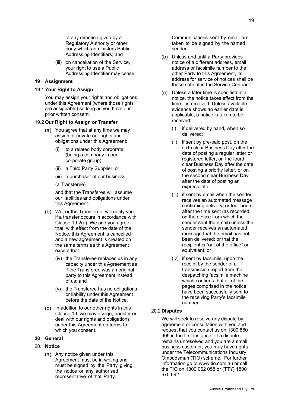of any direction given by a Regulatory Authority or other body which administers Public Addressing Identifiers; and

(iii) on cancellation of the Service, your right to use a Public Addressing Identifier may cease.

## **19 Assignment**

## 19.1 **Your Right to Assign**

You may assign your rights and obligations under this Agreement (where those rights are assignable) so long as you have our prior written consent.

#### 19.2 **Our Right to Assign or Transfer**

- You agree that at any time we may assign or novate our rights and obligations under this Agreement:
	- (i) to a related body corporate (being a company in our corporate group);
	- (ii) a Third Party Supplier; or
	- (iii) a purchaser of our business;

#### (a Transferee)

and that the Transferee will assume our liabilities and obligations under this Agreement.

- We, or the Transferee, will notify you if a transfer occurs in accordance with Clause 19.2(a). We and you agree that, with effect from the date of the Notice, this Agreement is cancelled and a new agreement is created on the same terms as this Agreement except that:
	- (iv) the Transferee replaces us in any capacity under this Agreement as if the Transferee was an original party to this Agreement instead of us; and
	- (v) the Transferee has no obligations or liability under this Agreement before the date of the Notice.
- $(C)$  In addition to our other rights in this Clause 19, we may assign, transfer or deal with our rights and obligations under this Agreement on terms to which you consent.

#### **20 General**

#### 20.1 **Notice**

(a) Any notice given under this Agreement must be in writing and must be signed by the Party giving the notice or any authorised representative of that Party.

Communications sent by email are taken to be signed by the named sender.

- (b) Unless and until a Party provides notice of a different address, email address or facsimile number to the other Party to this Agreement, its address for service of notices shall be those set out in the Service Contract.
- Unless a later time is specified in a notice, the notice takes effect from the time it is received. Unless available evidence shows an earlier date is applicable, a notice is taken to be received:
	- (i) if delivered by hand, when so delivered;
	- (ii) if sent by pre-paid post, on the sixth clear Business Day after the date of posting a regular letter or registered letter, on the fourth clear Business Day after the date of posting a priority letter, or on the second clear Business Day after the date of posting an express letter ;
	- (iii) if sent by email when the sender receives an automated message confirming delivery, or four hours after the time sent (as recorded on the device from which the sender sent the email) unless the sender receives an automated message that the email has not been delivered; or that the recipient is "out of the office" or equivalent; or
	- (iv) if sent by facsimile, upon the receipt by the sender of a transmission report from the despatching facsimile machine which confirms that all of the pages comprised in the notice have been successfully sent to the receiving Party's facsimile number.

#### 20.2 **Disputes**

We will seek to resolve any dispute by agreement or consultation with you and request that you contact us on 1300 880 905 in the first instance. If a dispute remains unresolved and you are a small business customer, you may have rights under the Telecommunications Industry Ombudsman (TIO) scheme. For further information go to www.tio.com.au or call the TIO on 1800 062 058 or (TTY) 1800 675 692.